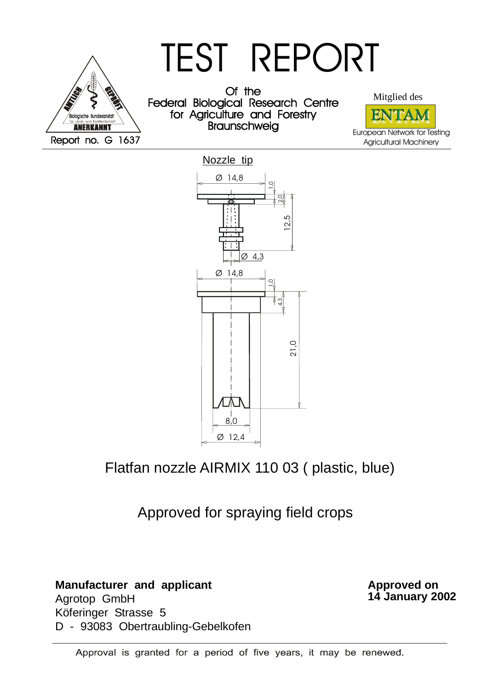

## TEST REPORT

Of the Federal Biological Research Centre for Agriculture and Forestry **Braunschweig** 



Nozzle tip 0, ົ 0,<br>2 12,5 Ø 14,8 Ø 4,3 0, 4,3 21,0  $Ø$  14.8 Ø 12,4 8,0

Flatfan nozzle AIRMIX 110 03 ( plastic, blue)

Approved for spraying field crops

**Manufacturer and applicant** Agrotop GmbH Köferinger Strasse 5 D - 93083 Obertraubling-Gebelkofen **Approved on 14 January 2002**

Approval is granted for a period of five years, it may be renewed.